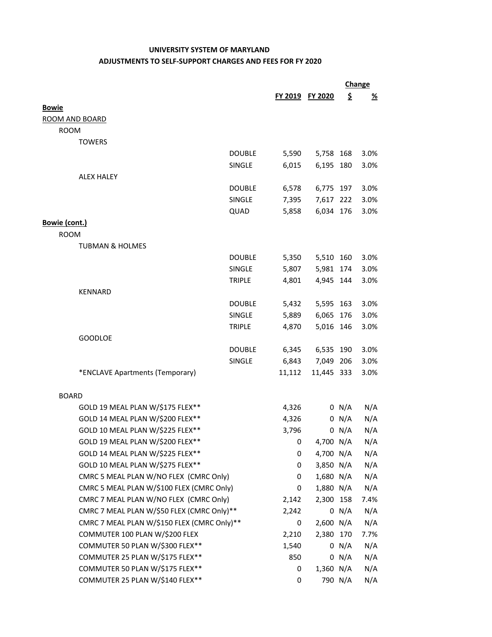## **UNIVERSITY SYSTEM OF MARYLAND ADJUSTMENTS TO SELF‐SUPPORT CHARGES AND FEES FOR FY 2020**

|                                             |               |        |                 |         | Change   |  |
|---------------------------------------------|---------------|--------|-----------------|---------|----------|--|
|                                             |               |        | FY 2019 FY 2020 | \$      | <u>%</u> |  |
| <b>Bowie</b>                                |               |        |                 |         |          |  |
| <b>ROOM AND BOARD</b>                       |               |        |                 |         |          |  |
| <b>ROOM</b>                                 |               |        |                 |         |          |  |
| <b>TOWERS</b>                               |               |        |                 |         |          |  |
|                                             | <b>DOUBLE</b> | 5,590  | 5,758 168       |         | 3.0%     |  |
|                                             | <b>SINGLE</b> | 6,015  | 6,195 180       |         | 3.0%     |  |
| <b>ALEX HALEY</b>                           |               |        |                 |         |          |  |
|                                             | <b>DOUBLE</b> | 6,578  | 6,775 197       |         | 3.0%     |  |
|                                             | SINGLE        | 7,395  | 7,617 222       |         | 3.0%     |  |
|                                             | QUAD          | 5,858  | 6,034 176       |         | 3.0%     |  |
| Bowie (cont.)                               |               |        |                 |         |          |  |
| <b>ROOM</b>                                 |               |        |                 |         |          |  |
| <b>TUBMAN &amp; HOLMES</b>                  |               |        |                 |         |          |  |
|                                             | <b>DOUBLE</b> | 5,350  | 5,510 160       |         | 3.0%     |  |
|                                             | <b>SINGLE</b> | 5,807  | 5,981 174       |         | 3.0%     |  |
|                                             | <b>TRIPLE</b> | 4,801  | 4,945 144       |         | 3.0%     |  |
| <b>KENNARD</b>                              |               |        |                 |         |          |  |
|                                             | <b>DOUBLE</b> | 5,432  | 5,595 163       |         | 3.0%     |  |
|                                             | <b>SINGLE</b> | 5,889  | 6,065 176       |         | 3.0%     |  |
|                                             | <b>TRIPLE</b> | 4,870  | 5,016 146       |         | 3.0%     |  |
| <b>GOODLOE</b>                              |               |        |                 |         |          |  |
|                                             | <b>DOUBLE</b> | 6,345  | 6,535 190       |         | 3.0%     |  |
|                                             | SINGLE        | 6,843  | 7,049 206       |         | 3.0%     |  |
| *ENCLAVE Apartments (Temporary)             |               | 11,112 | 11,445 333      |         | 3.0%     |  |
|                                             |               |        |                 |         |          |  |
| <b>BOARD</b>                                |               |        |                 |         |          |  |
| GOLD 19 MEAL PLAN W/\$175 FLEX**            |               | 4,326  |                 | 0 N/A   | N/A      |  |
| GOLD 14 MEAL PLAN W/\$200 FLEX**            |               | 4,326  |                 | 0 N/A   | N/A      |  |
| GOLD 10 MEAL PLAN W/\$225 FLEX**            |               | 3,796  |                 | 0 N/A   | N/A      |  |
| GOLD 19 MEAL PLAN W/\$200 FLEX**            |               | 0      | 4,700 N/A       |         | N/A      |  |
| GOLD 14 MEAL PLAN W/\$225 FLEX**            |               | 0      | 4,700 N/A       |         | N/A      |  |
| GOLD 10 MEAL PLAN W/\$275 FLEX**            |               | 0      | 3,850 N/A       |         | N/A      |  |
| CMRC 5 MEAL PLAN W/NO FLEX (CMRC Only)      |               | 0      | 1,680 N/A       |         | N/A      |  |
| CMRC 5 MEAL PLAN W/\$100 FLEX (CMRC Only)   |               | 0      | 1,880 N/A       |         | N/A      |  |
| CMRC 7 MEAL PLAN W/NO FLEX (CMRC Only)      |               | 2,142  | 2,300 158       |         | 7.4%     |  |
| CMRC 7 MEAL PLAN W/\$50 FLEX (CMRC Only)**  |               | 2,242  |                 | 0 N/A   | N/A      |  |
| CMRC 7 MEAL PLAN W/\$150 FLEX (CMRC Only)** |               | 0      | 2,600 N/A       |         | N/A      |  |
| COMMUTER 100 PLAN W/\$200 FLEX              |               | 2,210  | 2,380 170       |         | 7.7%     |  |
| COMMUTER 50 PLAN W/\$300 FLEX**             |               | 1,540  |                 | 0 N/A   | N/A      |  |
| COMMUTER 25 PLAN W/\$175 FLEX**             |               | 850    |                 | 0 N/A   | N/A      |  |
| COMMUTER 50 PLAN W/\$175 FLEX**             |               | 0      | 1,360 N/A       |         | N/A      |  |
| COMMUTER 25 PLAN W/\$140 FLEX**             |               | 0      |                 | 790 N/A | N/A      |  |